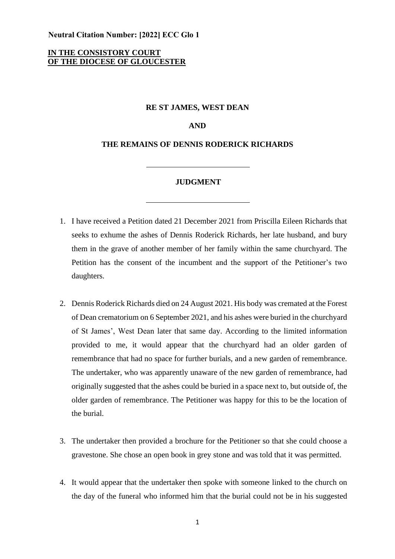**Neutral Citation Number: [2022] ECC Glo 1** 

# **IN THE CONSISTORY COURT OF THE DIOCESE OF GLOUCESTER**

### **RE ST JAMES, WEST DEAN**

**AND**

## **THE REMAINS OF DENNIS RODERICK RICHARDS**

#### **JUDGMENT**

- 1. I have received a Petition dated 21 December 2021 from Priscilla Eileen Richards that seeks to exhume the ashes of Dennis Roderick Richards, her late husband, and bury them in the grave of another member of her family within the same churchyard. The Petition has the consent of the incumbent and the support of the Petitioner's two daughters.
- 2. Dennis Roderick Richards died on 24 August 2021. His body was cremated at the Forest of Dean crematorium on 6 September 2021, and his ashes were buried in the churchyard of St James', West Dean later that same day. According to the limited information provided to me, it would appear that the churchyard had an older garden of remembrance that had no space for further burials, and a new garden of remembrance. The undertaker, who was apparently unaware of the new garden of remembrance, had originally suggested that the ashes could be buried in a space next to, but outside of, the older garden of remembrance. The Petitioner was happy for this to be the location of the burial.
- 3. The undertaker then provided a brochure for the Petitioner so that she could choose a gravestone. She chose an open book in grey stone and was told that it was permitted.
- 4. It would appear that the undertaker then spoke with someone linked to the church on the day of the funeral who informed him that the burial could not be in his suggested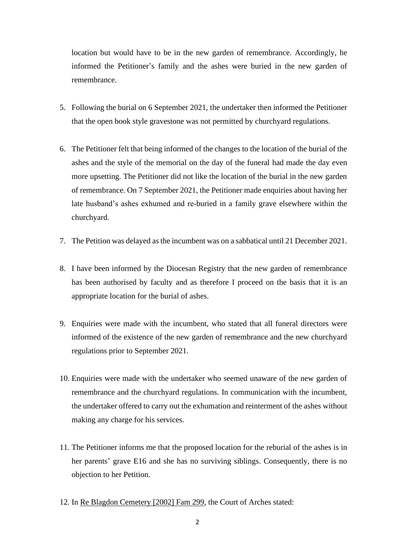location but would have to be in the new garden of remembrance. Accordingly, he informed the Petitioner's family and the ashes were buried in the new garden of remembrance.

- 5. Following the burial on 6 September 2021, the undertaker then informed the Petitioner that the open book style gravestone was not permitted by churchyard regulations.
- 6. The Petitioner felt that being informed of the changes to the location of the burial of the ashes and the style of the memorial on the day of the funeral had made the day even more upsetting. The Petitioner did not like the location of the burial in the new garden of remembrance. On 7 September 2021, the Petitioner made enquiries about having her late husband's ashes exhumed and re-buried in a family grave elsewhere within the churchyard.
- 7. The Petition was delayed as the incumbent was on a sabbatical until 21 December 2021.
- 8. I have been informed by the Diocesan Registry that the new garden of remembrance has been authorised by faculty and as therefore I proceed on the basis that it is an appropriate location for the burial of ashes.
- 9. Enquiries were made with the incumbent, who stated that all funeral directors were informed of the existence of the new garden of remembrance and the new churchyard regulations prior to September 2021.
- 10. Enquiries were made with the undertaker who seemed unaware of the new garden of remembrance and the churchyard regulations. In communication with the incumbent, the undertaker offered to carry out the exhumation and reinterment of the ashes without making any charge for his services.
- 11. The Petitioner informs me that the proposed location for the reburial of the ashes is in her parents' grave E16 and she has no surviving siblings. Consequently, there is no objection to her Petition.
- 12. In Re Blagdon Cemetery [2002] Fam 299, the Court of Arches stated: